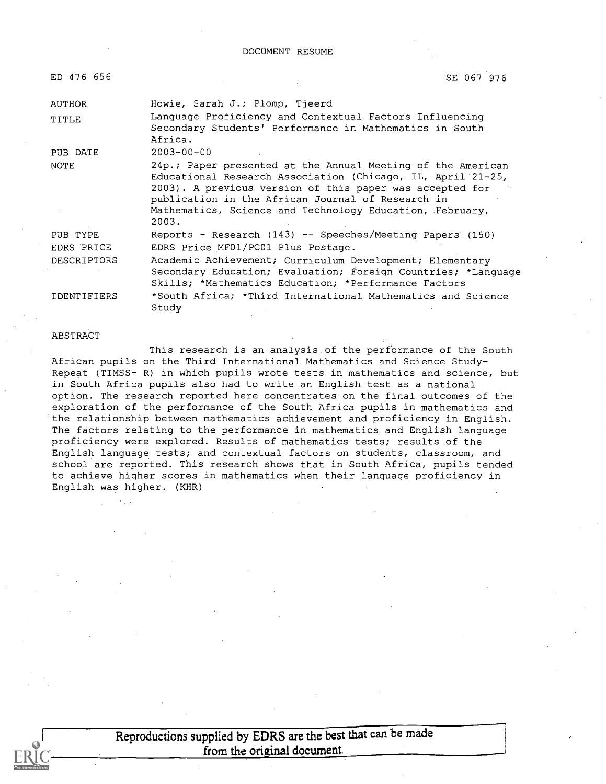#### DOCUMENT RESUME

| ED 476 656         | SE 067 976                                                                                                                                                                                                                                                                                                       |
|--------------------|------------------------------------------------------------------------------------------------------------------------------------------------------------------------------------------------------------------------------------------------------------------------------------------------------------------|
| <b>AUTHOR</b>      | Howie, Sarah J.; Plomp, Tjeerd                                                                                                                                                                                                                                                                                   |
| TITLE              | Language Proficiency and Contextual Factors Influencing<br>Secondary Students' Performance in Mathematics in South<br>Africa.                                                                                                                                                                                    |
| PUB DATE           | $2003 - 00 - 00$                                                                                                                                                                                                                                                                                                 |
| <b>NOTE</b>        | 24p.; Paper presented at the Annual Meeting of the American<br>Educational Research Association (Chicago, IL, April 21-25,<br>2003). A previous version of this paper was accepted for<br>publication in the African Journal of Research in<br>Mathematics, Science and Technology Education, February,<br>2003. |
| PUB TYPE           | Reports - Research (143) -- Speeches/Meeting Papers (150)                                                                                                                                                                                                                                                        |
| EDRS PRICE         | EDRS Price MF01/PC01 Plus Postage.                                                                                                                                                                                                                                                                               |
| <b>DESCRIPTORS</b> | Academic Achievement; Curriculum Development; Elementary<br>Secondary Education; Evaluation; Foreign Countries; *Language<br>Skills; *Mathematics Education; *Performance Factors                                                                                                                                |
| IDENTIFIERS        | *South Africa; *Third International Mathematics and Science<br>Study                                                                                                                                                                                                                                             |

#### ABSTRACT

This research is an analysis of the performance of the South African pupils on the Third International Mathematics and Science Study-Repeat (TIMSS- R) in which pupils wrote tests in mathematics and science, but in South Africa pupils also had to write an English test as a national option. The research reported here concentrates on the final outcomes of the exploration of the performance of the South Africa pupils in mathematics and the relationship between mathematics achievement and proficiency in English. The factors relating to the performance in mathematics and English language proficiency were explored. Results of mathematics tests; results of the English language tests; and contextual factors on students, classroom, and school are reported. This research shows that in South Africa, pupils tended to achieve higher scores in mathematics when their language proficiency in English was higher. (KHR)

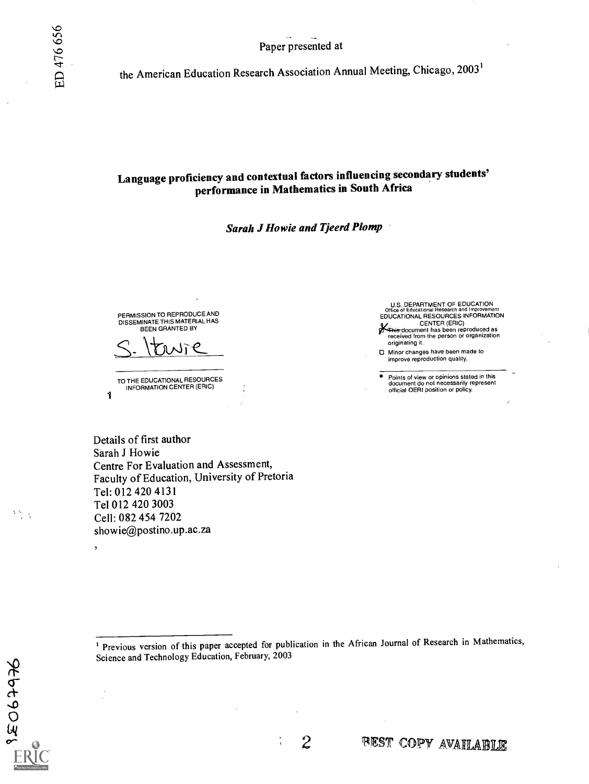$\mathcal{N}(\mathcal{S})$  .

92067976

 $\overline{\phantom{a}}$ 

Paper presented at

the American Education Research Association Annual Meeting, Chicago, 2003<sup>1</sup>

## Language proficiency and contextual factors influencing secondary students' performance in Mathematics in South Africa

Sarah J Howie and Tjeerd Plomp

PERMISSION TO REPRODUCE AND DISSEMINATE THIS MATERIAL HAS BEEN GRANTED BY

ilx

TO THE EDUCATIONAL RESOURCES INFORMATION CENTER (ERIC) 1

U.S. DEPARTMENT OF EDUCATION Office of Educational Research and Improvement EDUCATIONAL RESOURCES INFORMATION **√** CENTER (ERIC)<br><del>MThis </del>document has been reproduced as received from the person or organization originating it.

El Minor changes have been made to improve reproduction quality.

Points of view or opinions stated in this document do not necessarily represent official OERI position or policy.

Details of first author Sarah J Howie Centre For Evaluation and Assessment, Faculty of Education, University of Pretoria Tel: 012 420 4131 Tel 012 420 3003 Cell: 082 454 7202 showie@postino.up.ac.za

<sup>1</sup> Previous version of this paper accepted for publication in the African Journal of Research in Mathematics, Science and Technology Education, February, 2003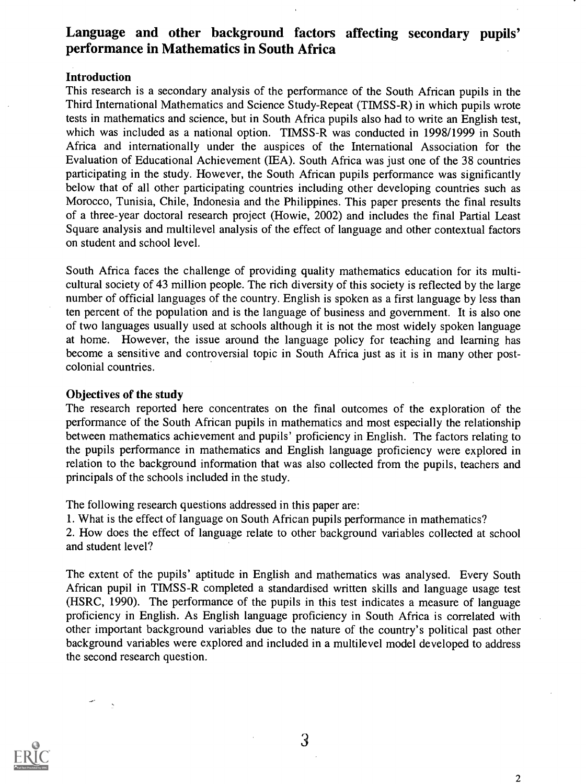## Language and other background factors affecting secondary pupils' performance in Mathematics in South Africa

#### Introduction

This research is a secondary analysis of the performance of the South African pupils in the Third International Mathematics and Science Study-Repeat (TIMSS -R) in which pupils wrote tests in mathematics and science, but in South Africa pupils also had to write an English test, which was included as a national option. TIMSS-R was conducted in 1998/1999 in South Africa and internationally under the auspices of the International Association for the Evaluation of Educational Achievement (TEA). South Africa was just one of the 38 countries participating in the study. However, the South African pupils performance was significantly below that of all other participating countries including other developing countries such as Morocco, Tunisia, Chile, Indonesia and the Philippines. This paper presents the final results of a three-year doctoral research project (Howie, 2002) and includes the final Partial Least Square analysis and multilevel analysis of the effect of language and other contextual factors on student and school level.

South Africa faces the challenge of providing quality mathematics education for its multicultural society of 43 million people. The rich diversity of this society is reflected by the large number of official languages of the country. English is spoken as a first language by less than ten percent of the population and is the language of business and government. It is also one of two languages usually used at schools although it is not the most widely spoken language at home. However, the issue around the language policy for teaching and learning has become a sensitive and controversial topic in South Africa just as it is in many other postcolonial countries.

#### Objectives of the study

The research reported here concentrates on the final outcomes of the exploration of the performance of the South African pupils in mathematics and most especially the relationship between mathematics achievement and pupils' proficiency in English. The factors relating to the pupils performance in mathematics and English language proficiency were explored in relation to the background information that was also collected from the pupils, teachers and principals of the schools included in the study.

The following research questions addressed in this paper are:

1. What is the effect of language on South African pupils performance in mathematics?

2. How does the effect of language relate to other background variables collected at school and student level?

The extent of the pupils' aptitude in English and mathematics was analysed. Every South African pupil in TIMSS -R completed a standardised written skills and language usage test (HSRC, 1990). The performance of the pupils in this test indicates a measure of language proficiency in English. As English language proficiency in South Africa is correlated with other important background variables due to the nature of the country's political past other background variables were explored and included in a multilevel model developed to address the second research question.

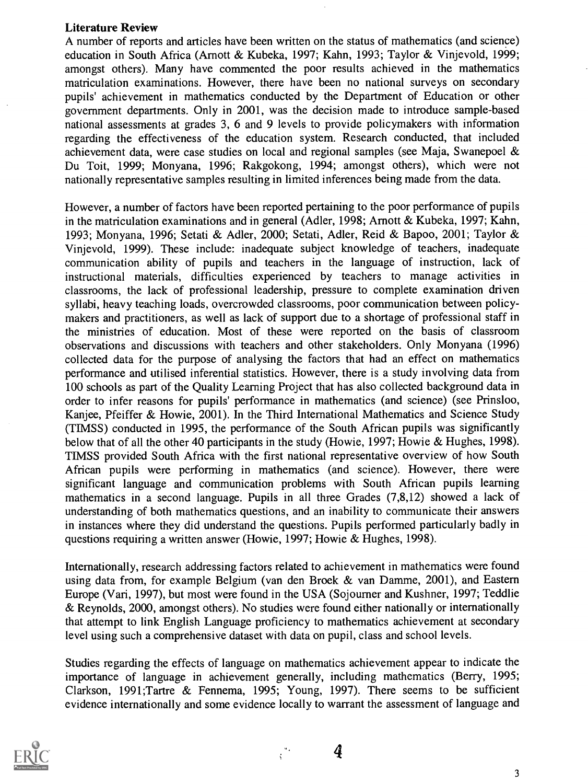## Literature Review

A number of reports and articles have been written on the status of mathematics (and science) education in South Africa (Arnott & Kubeka, 1997; Kahn, 1993; Taylor & Vinjevold, 1999; amongst others). Many have commented the poor results achieved in the mathematics matriculation examinations. However, there have been no national surveys on secondary pupils' achievement in mathematics conducted by the Department of Education or other government departments. Only in 2001, was the decision made to introduce sample-based national assessments at grades 3, 6 and 9 levels to provide policymakers with information regarding the effectiveness of the education system. Research conducted, that included achievement data, were case studies on local and regional samples (see Maja, Swanepoel & Du Toit, 1999; Monyana, 1996; Rakgokong, 1994; amongst others), which were not nationally representative samples resulting in limited inferences being made from the data.

However, a number of factors have been reported pertaining to the poor performance of pupils in the matriculation examinations and in general (Adler, 1998; Arnott & Kubeka, 1997; Kahn, 1993; Monyana, 1996; Setati & Adler, 2000; Setati, Adler, Reid & Bapoo, 2001; Taylor & Vinjevold, 1999). These include: inadequate subject knowledge of teachers, inadequate communication ability of pupils and teachers in the language of instruction, lack of instructional materials, difficulties experienced by teachers to manage activities in classrooms, the lack of professional leadership, pressure to complete examination driven syllabi, heavy teaching loads, overcrowded classrooms, poor communication between policymakers and practitioners, as well as lack of support due to a shortage of professional staff in the ministries of education. Most of these were reported on the basis of classroom observations and discussions with teachers and other stakeholders. Only Monyana (1996) collected data for the purpose of analysing the factors that had an effect on mathematics performance and utilised inferential statistics. However, there is a study involving data from 100 schools as part of the Quality Learning Project that has also collected background data in order to infer reasons for pupils' performance in mathematics (and science) (see Prinsloo, Kanjee, Pfeiffer & Howie, 2001). In the Third International Mathematics and Science Study (TIMSS) conducted in 1995, the performance of the South African pupils was significantly below that of all the other 40 participants in the study (Howie, 1997; Howie & Hughes, 1998). TIMSS provided South Africa with the first national representative overview of how South African pupils were performing in mathematics (and science). However, there were significant language and communication problems with South African pupils learning mathematics in a second language. Pupils in all three Grades (7,8,12) showed a lack of understanding of both mathematics questions, and an inability to communicate their answers in instances where they did understand the questions. Pupils performed particularly badly in questions requiring a written answer (Howie, 1997; Howie & Hughes, 1998).

Internationally, research addressing factors related to achievement in mathematics were found using data from, for example Belgium (van den Broek & van Damme, 2001), and Eastern Europe (Vari, 1997), but most were found in the USA (Sojourner and Kushner, 1997; Teddlie & Reynolds, 2000, amongst others). No studies were found either nationally or internationally that attempt to link English Language proficiency to mathematics achievement at secondary level using such a comprehensive dataset with data on pupil, class and school levels.

Studies regarding the effects of language on mathematics achievement appear to indicate the importance of language in achievement generally, including mathematics (Berry, 1995; Clarkson, 1991;Tartre & Fennema, 1995; Young, 1997). There seems to be sufficient evidence internationally and some evidence locally to warrant the assessment of language and

 $\frac{1}{k}$ 

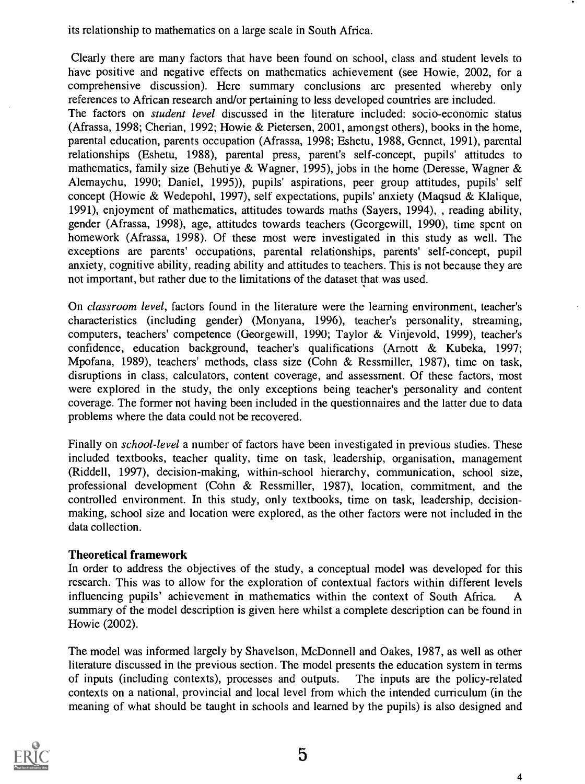its relationship to mathematics on a large scale in South Africa.

Clearly there are many factors that have been found on school, class and student levels to have positive and negative effects on mathematics achievement (see Howie, 2002, for a comprehensive discussion). Here summary conclusions are presented whereby only references to African research and/or pertaining to less developed countries are included.

The factors on student level discussed in the literature included: socio-economic status (Afrassa, 1998; Cherian, 1992; Howie & Pietersen, 2001, amongst others), books in the home, parental education, parents occupation (Afrassa, 1998; Eshetu, 1988, Gennet, 1991), parental relationships (Eshetu, 1988), parental press, parent's self-concept, pupils' attitudes to mathematics, family size (Behutiye & Wagner, 1995), jobs in the home (Deresse, Wagner & Alemaychu, 1990; Daniel, 1995)), pupils' aspirations, peer group attitudes, pupils' self concept (Howie & Wedepohl, 1997), self expectations, pupils' anxiety (Maqsud & Klalique, 1991), enjoyment of mathematics, attitudes towards maths (Sayers, 1994), reading ability, gender (Afrassa, 1998), age, attitudes towards teachers (Georgewill, 1990), time spent on homework (Afrassa, 1998). Of these most were investigated in this study as well. The exceptions are parents' occupations, parental relationships, parents' self-concept, pupil anxiety, cognitive ability, reading ability and attitudes to teachers. This is not because they are not important, but rather due to the limitations of the dataset that was used.

On classroom level, factors found in the literature were the learning environment, teacher's characteristics (including gender) (Monyana, 1996), teacher's personality, streaming, computers, teachers' competence (Georgewill, 1990; Taylor & Vinjevold, 1999), teacher's confidence, education background, teacher's qualifications (Arnott & Kubeka, 1997; Mpofana, 1989), teachers' methods, class size (Cohn & Ressmiller, 1987), time on task, disruptions in class, calculators, content coverage, and assessment. Of these factors, most were explored in the study, the only exceptions being teacher's personality and content coverage. The former not having been included in the questionnaires and the latter due to data problems where the data could not be recovered.

Finally on school-level a number of factors have been investigated in previous studies. These included textbooks, teacher quality, time on task, leadership, organisation, management (Riddell, 1997), decision-making, within-school hierarchy, communication, school size, professional development (Cohn & Ressmiller, 1987), location, commitment, and the controlled environment. In this study, only textbooks, time on task, leadership, decisionmaking, school size and location were explored, as the other factors were not included in the data collection.

## Theoretical framework

In order to address the objectives of the study, a conceptual model was developed for this research. This was to allow for the exploration of contextual factors within different levels influencing pupils' achievement in mathematics within the context of South Africa. A summary of the model description is given here whilst a complete description can be found in Howie (2002).

The model was informed largely by Shavelson, McDonnell and Oakes, 1987, as well as other literature discussed in the previous section. The model presents the education system in terms of inputs (including contexts), processes and outputs. The inputs are the policy-related contexts on a national, provincial and local level from which the intended curriculum (in the meaning of what should be taught in schools and learned by the pupils) is also designed and

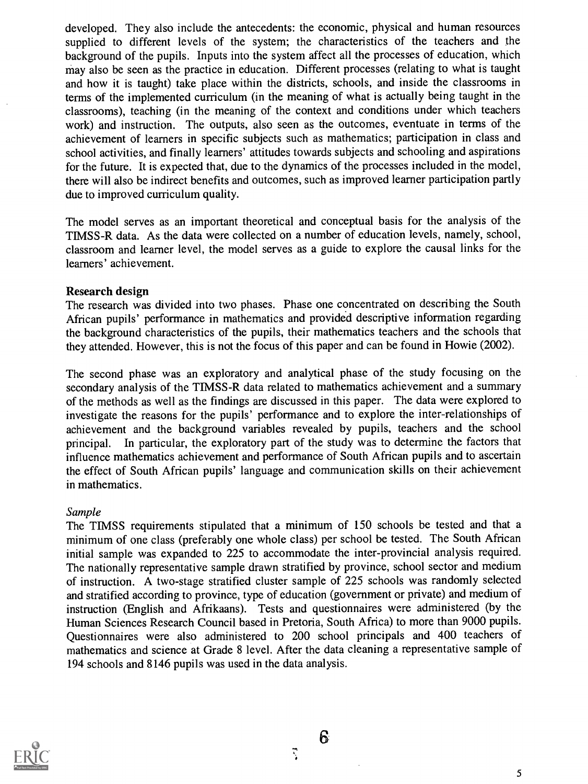developed. They also include the antecedents: the economic, physical and human resources supplied to different levels of the system; the characteristics of the teachers and the background of the pupils. Inputs into the system affect all the processes of education, which may also be seen as the practice in education. Different processes (relating to what is taught and how it is taught) take place within the districts, schools, and inside the classrooms in terms of the implemented curriculum (in the meaning of what is actually being taught in the classrooms), teaching (in the meaning of the context and conditions under which teachers work) and instruction. The outputs, also seen as the outcomes, eventuate in terms of the achievement of learners in specific subjects such as mathematics; participation in class and school activities, and finally learners' attitudes towards subjects and schooling and aspirations for the future. It is expected that, due to the dynamics of the processes included in the model, there will also be indirect benefits and outcomes, such as improved learner participation partly due to improved curriculum quality.

The model serves as an important theoretical and conceptual basis for the analysis of the TIMSS-R data. As the data were collected on a number of education levels, namely, school, classroom and learner level, the model serves as a guide to explore the causal links for the learners' achievement.

#### Research design

The research was divided into two phases. Phase one concentrated on describing the South African pupils' performance in mathematics and provided descriptive information regarding the background characteristics of the pupils, their mathematics teachers and the schools that they attended. However, this is not the focus of this paper and can be found in Howie (2002).

The second phase was an exploratory and analytical phase of the study focusing on the secondary analysis of the TIMSS -R data related to mathematics achievement and a summary of the methods as well as the findings are discussed in this paper. The data were explored to investigate the reasons for the pupils' performance and to explore the inter-relationships of achievement and the background variables revealed by pupils, teachers and the school principal. In particular, the exploratory part of the study was to determine the factors that influence mathematics achievement and performance of South African pupils and to ascertain the effect of South African pupils' language and communication skills on their achievement in mathematics.

#### Sample

The TIMSS requirements stipulated that a minimum of 150 schools be tested and that a minimum of one class (preferably one whole class) per school be tested. The South African initial sample was expanded to 225 to accommodate the inter-provincial analysis required. The nationally representative sample drawn stratified by province, school sector and medium of instruction. A two-stage stratified cluster sample of 225 schools was randomly selected and stratified according to province, type of education (government or private) and medium of instruction (English and Afrikaans). Tests and questionnaires were administered (by the Human Sciences Research Council based in Pretoria, South Africa) to more than 9000 pupils. Questionnaires were also administered to 200 school principals and 400 teachers of mathematics and science at Grade 8 level. After the data cleaning a representative sample of 194 schools and 8146 pupils was used in the data analysis.



6

 $\ddot{\phantom{0}}$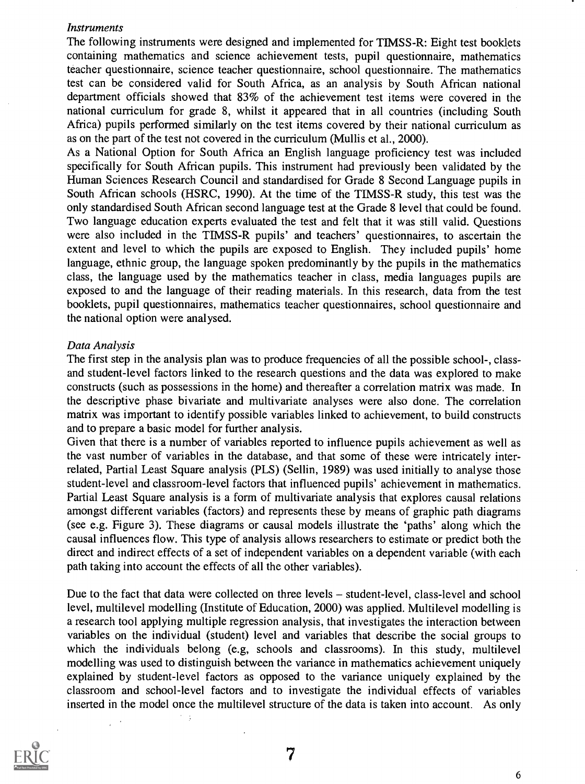#### **Instruments**

The following instruments were designed and implemented for TIMSS-R: Eight test booklets containing mathematics and science achievement tests, pupil questionnaire, mathematics teacher questionnaire, science teacher questionnaire, school questionnaire. The mathematics test can be considered valid for South Africa, as an analysis by South African national department officials showed that 83% of the achievement test items were covered in the national curriculum for grade 8, whilst it appeared that in all countries (including South Africa) pupils performed similarly on the test items covered by their national curriculum as as on the part of the test not covered in the curriculum (Mullis et al., 2000).

As a National Option for South Africa an English language proficiency test was included specifically for South African pupils. This instrument had previously been validated by the Human Sciences Research Council and standardised for Grade 8 Second Language pupils in South African schools (HSRC, 1990). At the time of the TIMSS -R study, this test was the only standardised South African second language test at the Grade 8 level that could be found. Two language education experts evaluated the test and felt that it was still valid. Questions were also included in the TIMSS-R pupils' and teachers' questionnaires, to ascertain the extent and level to which the pupils are exposed to English. They included pupils' home language, ethnic group, the language spoken predominantly by the pupils in the mathematics class, the language used by the mathematics teacher in class, media languages pupils are exposed to and the language of their reading materials. In this research, data from the test booklets, pupil questionnaires, mathematics teacher questionnaires, school questionnaire and the national option were analysed.

#### Data Analysis

The first step in the analysis plan was to produce frequencies of all the possible school-, classand student-level factors linked to the research questions and the data was explored to make constructs (such as possessions in the home) and thereafter a correlation matrix was made. In the descriptive phase bivariate and multivariate analyses were also done. The correlation matrix was important to identify possible variables linked to achievement, to build constructs and to prepare a basic model for further analysis.

Given that there is a number of variables reported to influence pupils achievement as well as the vast number of variables in the database, and that some of these were intricately interrelated, Partial Least Square analysis (PLS) (Sellin, 1989) was used initially to analyse those student-level and classroom-level factors that influenced pupils' achievement in mathematics. Partial Least Square analysis is a form of multivariate analysis that explores causal relations amongst different variables (factors) and represents these by means of graphic path diagrams (see e.g. Figure 3). These diagrams or causal models illustrate the 'paths' along which the causal influences flow. This type of analysis allows researchers to estimate or predict both the direct and indirect effects of a set of independent variables on a dependent variable (with each path taking into account the effects of all the other variables).

Due to the fact that data were collected on three levels – student-level, class-level and school level, multilevel modelling (Institute of Education, 2000) was applied. Multilevel modelling is a research tool applying multiple regression analysis, that investigates the interaction between variables on the individual (student) level and variables that describe the social groups to which the individuals belong (e.g, schools and classrooms). In this study, multilevel modelling was used to distinguish between the variance in mathematics achievement uniquely explained by student-level factors as opposed to the variance uniquely explained by the classroom and school-level factors and to investigate the individual effects of variables inserted in the model once the multilevel structure of the data is taken into account. As only



7

in g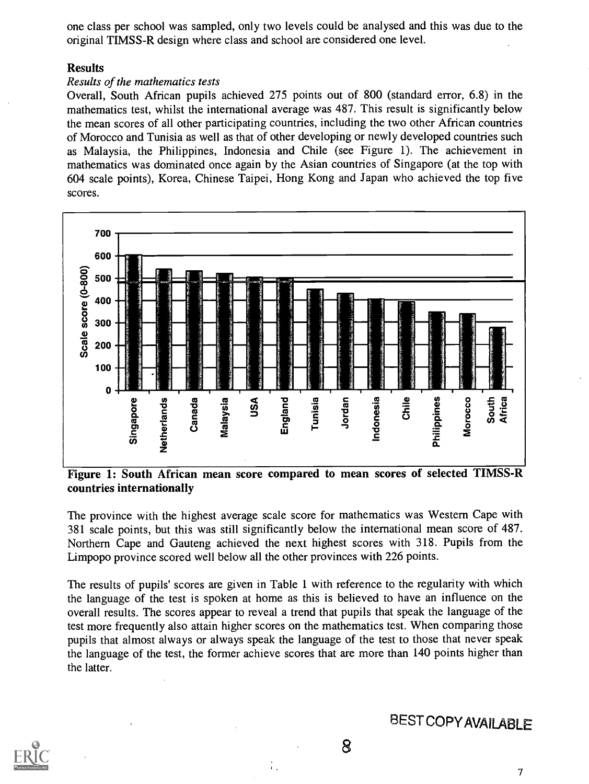one class per school was sampled, only two levels could be analysed and this was due to the original TIMSS-R design where class and school are considered one level.

#### **Results**

#### Results of the mathematics tests

Overall, South African pupils achieved 275 points out of 800 (standard error, 6.8) in the mathematics test, whilst the international average was 487. This result is significantly below the mean scores of all other participating countries, including the two other African countries of Morocco and Tunisia as well as that of other developing or newly developed countries such as Malaysia, the Philippines, Indonesia and Chile (see Figure 1). The achievement in mathematics was dominated once again by the Asian countries of Singapore (at the top with 604 scale points), Korea, Chinese Taipei, Hong Kong and Japan who achieved the top five scores.



Figure 1: South African mean score compared to mean scores of selected TIMSS-R countries internationally

The province with the highest average scale score for mathematics was Western Cape with 381 scale points, but this was still significantly below the international mean score of 487. Northern Cape and Gauteng achieved the next highest scores with 318. Pupils from the Limpopo province scored well below all the other provinces with 226 points.

The results of pupils' scores are given in Table 1 with reference to the regularity with which the language of the test is spoken at home as this is believed to have an influence on the overall results. The scores appear to reveal a trend that pupils that speak the language of the test more frequently also attain higher scores on the mathematics test. When comparing those pupils that almost always or always speak the language of the test to those that never speak the language of the test, the former achieve scores that are more than 140 points higher than the latter.

 $\frac{1}{4}$  .



BEST COPY AVAILABLE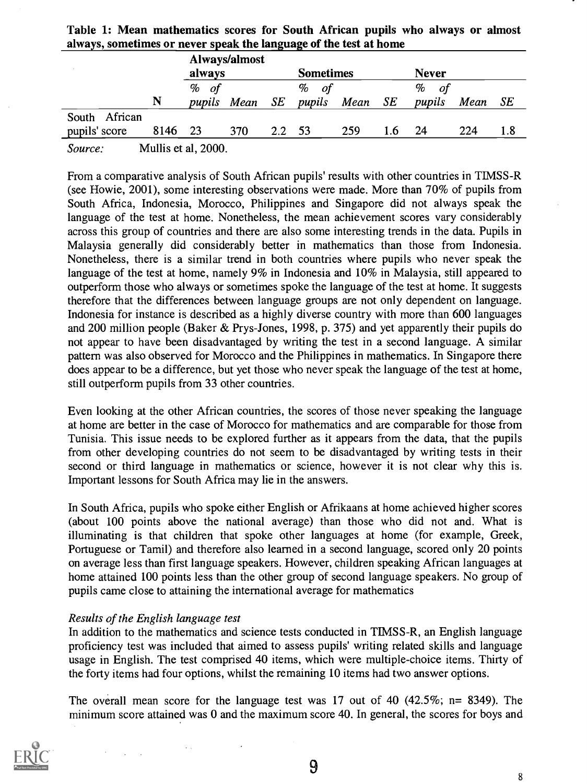| armays, somethings or never speak the magaage or the test at home |         |                    |               |     |                  |      |     |              |      |    |
|-------------------------------------------------------------------|---------|--------------------|---------------|-----|------------------|------|-----|--------------|------|----|
|                                                                   |         |                    | Always/almost |     |                  |      |     |              |      |    |
|                                                                   |         | always             |               |     | <b>Sometimes</b> |      |     | <b>Never</b> |      |    |
|                                                                   |         | %<br><sup>of</sup> |               |     | <i>of</i><br>%   |      |     | %<br>-of     |      |    |
|                                                                   | N       | pupils             | Mean          | SE  | pupils           | Mean | SE  | pupils       | Mean | SE |
| South African                                                     |         |                    |               |     |                  |      |     |              |      |    |
| pupils' score                                                     | 8146    | 23                 | 370           | 2.2 | 53               | 259  | l 6 | 24           | 224  |    |
|                                                                   | _ _ _ _ | .                  |               |     |                  |      |     |              |      |    |

Table 1: Mean mathematics scores for South African pupils who always or almost always, sometimes or never speak the language of the test at home

Source: Mullis et al, 2000.

From a comparative analysis of South African pupils' results with other countries in TIMSS -R (see Howie, 2001), some interesting observations were made. More than 70% of pupils from South Africa, Indonesia, Morocco, Philippines and Singapore did not always speak the language of the test at home. Nonetheless, the mean achievement scores vary considerably across this group of countries and there are also some interesting trends in the data. Pupils in Malaysia generally did considerably better in mathematics than those from Indonesia. Nonetheless, there is a similar trend in both countries where pupils who never speak the language of the test at home, namely 9% in Indonesia and 10% in Malaysia, still appeared to outperform those who always or sometimes spoke the language of the test at home. It suggests therefore that the differences between language groups are not only dependent on language. Indonesia for instance is described as a highly diverse country with more than 600 languages and 200 million people (Baker & Prys-Jones, 1998, p. 375) and yet apparently their pupils do not appear to have been disadvantaged by writing the test in a second language. A similar pattern was also observed for Morocco and the Philippines in mathematics. In Singapore there does appear to be a difference, but yet those who never speak the language of the test at home, still outperform pupils from 33 other countries.

Even looking at the other African countries, the scores of those never speaking the language at home are better in the case of Morocco for mathematics and are comparable for those from Tunisia. This issue needs to be explored further as it appears from the data, that the pupils from other developing countries do not seem to be disadvantaged by writing tests in their second or third language in mathematics or science, however it is not clear why this is. Important lessons for South Africa may lie in the answers.

In South Africa, pupils who spoke either English or Afrikaans at home achieved higher scores (about 100 points above the national average) than those who did not and. What is illuminating is that children that spoke other languages at home (for example, Greek, Portuguese or Tamil) and therefore also learned in a second language, scored only 20 points on average less than first language speakers. However, children speaking African languages at home attained 100 points less than the other group of second language speakers. No group of pupils came close to attaining the international average for mathematics

## Results of the English language test

In addition to the mathematics and science tests conducted in TIMSS-R, an English language proficiency test was included that aimed to assess pupils' writing related skills and language usage in English. The test comprised 40 items, which were multiple-choice items. Thirty of the forty items had four options, whilst the remaining 10 items had two answer options.

The overall mean score for the language test was 17 out of 40 (42.5%; n= 8349). The minimum score attained was 0 and the maximum score 40. In general, the scores for boys and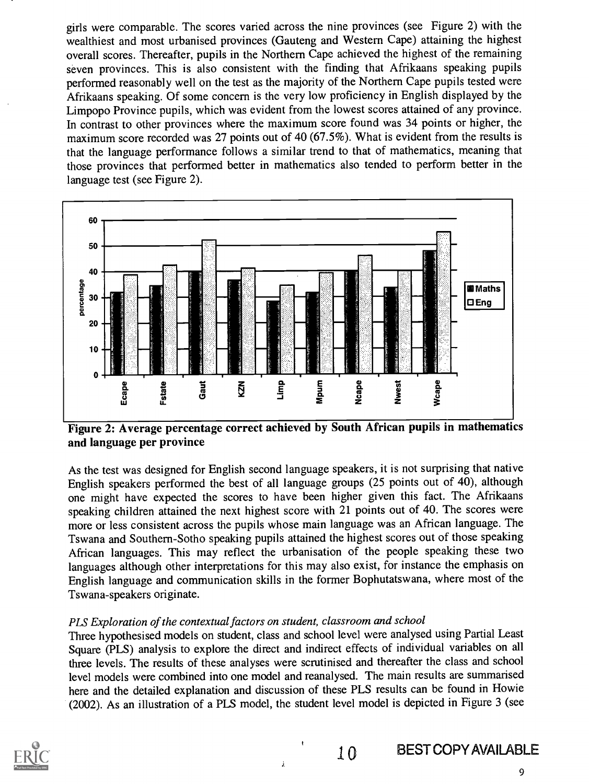girls were comparable. The scores varied across the nine provinces (see Figure 2) with the wealthiest and most urbanised provinces (Gauteng and Western Cape) attaining the highest overall scores. Thereafter, pupils in the Northern Cape achieved the highest of the remaining seven provinces. This is also consistent with the finding that Afrikaans speaking pupils performed reasonably well on the test as the majority of the Northern Cape pupils tested were Afrikaans speaking. Of some concern is the very low proficiency in English displayed by the Limpopo Province pupils, which was evident from the lowest scores attained of any province. In contrast to other provinces where the maximum score found was 34 points or higher, the maximum score recorded was 27 points out of 40 (67.5%). What is evident from the results is that the language performance follows a similar trend to that of mathematics, meaning that those provinces that performed better in mathematics also tended to perform better in the language test (see Figure 2).



Figure 2: Average percentage correct achieved by South African pupils in mathematics and language per province

As the test was designed for English second language speakers, it is not surprising that native English speakers performed the best of all language groups (25 points out of 40), although one might have expected the scores to have been higher given this fact. The Afrikaans speaking children attained the next highest score with 21 points out of 40. The scores were more or less consistent across the pupils whose main language was an African language. The Tswana and Southern-Sotho speaking pupils attained the highest scores out of those speaking African languages. This may reflect the urbanisation of the people speaking these two languages although other interpretations for this may also exist, for instance the emphasis on English language and communication skills in the former Bophutatswana, where most of the Tswana-speakers originate.

## PLS Exploration of the contextual factors on student, classroom and school

Three hypothesised models on student, class and school level were analysed using Partial Least Square (PLS) analysis to explore the direct and indirect effects of individual variables on all three levels. The results of these analyses were scrutinised and thereafter the class and school level models were combined into one model and reanalysed. The main results are summarised here and the detailed explanation and discussion of these PLS results can be found in Howie (2002). As an illustration of a PLS model, the student level model is depicted in Figure 3 (see

 $\hat{L}$ 



10 BEST COPY AVAILABLE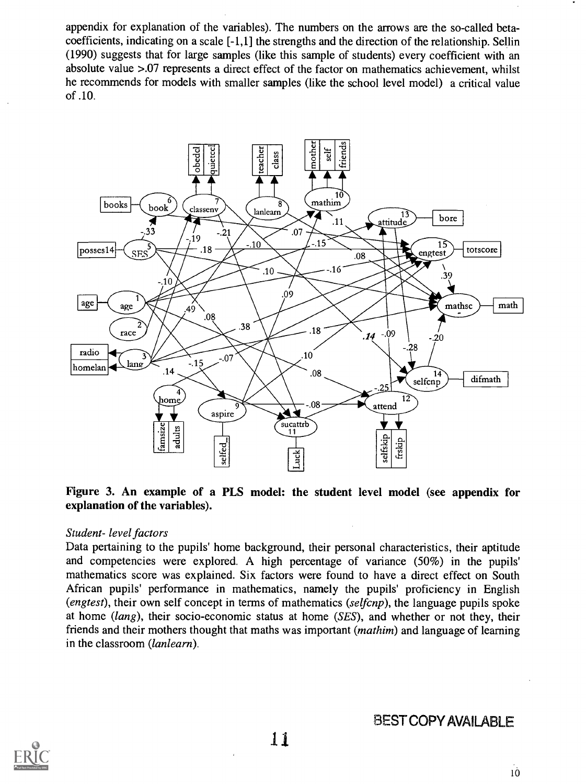appendix for explanation of the variables). The numbers on the arrows are the so-called betacoefficients, indicating on a scale  $[-1,1]$  the strengths and the direction of the relationship. Sellin (1990) suggests that for large samples (like this sample of students) every coefficient with an absolute value >.07 represents a direct effect of the factor on mathematics achievement, whilst he recommends for models with smaller samples (like the school level model) a critical value of .10.



Figure 3. An example of a PLS model: the student level model (see appendix for explanation of the variables).

## Student- level factors

Data pertaining to the pupils' home background, their personal characteristics, their aptitude and competencies were explored. A high percentage of variance (50%) in the pupils' mathematics score was explained. Six factors were found to have a direct effect on South African pupils' performance in mathematics, namely the pupils' proficiency in English (engtest), their own self concept in terms of mathematics (selfcnp), the language pupils spoke at home (lang), their socio-economic status at home (SES), and whether or not they, their friends and their mothers thought that maths was important (mathim) and language of learning in the classroom (lanlearn).



BESTCOPY AVAILABLE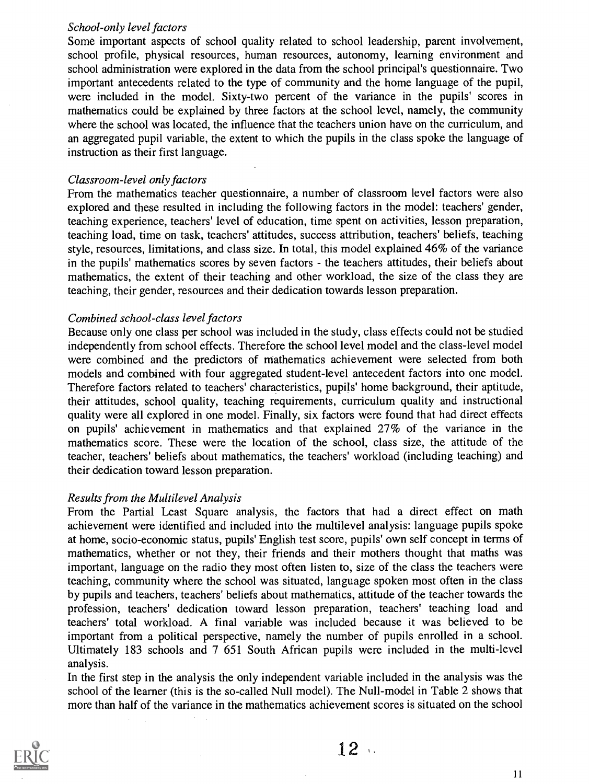#### School-only level factors

Some important aspects of school quality related to school leadership, parent involvement, school profile, physical resources, human resources, autonomy, learning environment and school administration were explored in the data from the school principal's questionnaire. Two important antecedents related to the type of community and the home language of the pupil, were included in the model. Sixty-two percent of the variance in the pupils' scores in mathematics could be explained by three factors at the school level, namely, the community where the school was located, the influence that the teachers union have on the curriculum, and an aggregated pupil variable, the extent to which the pupils in the class spoke the language of instruction as their first language.

## Classroom-level only factors

From the mathematics teacher questionnaire, a number of classroom level factors were also explored and these resulted in including the following factors in the model: teachers' gender, teaching experience, teachers' level of education, time spent on activities, lesson preparation, teaching load, time on task, teachers' attitudes, success attribution, teachers' beliefs, teaching style, resources, limitations, and class size. In total, this model explained 46% of the variance in the pupils' mathematics scores by seven factors - the teachers attitudes, their beliefs about mathematics, the extent of their teaching and other workload, the size of the class they are teaching, their gender, resources and their dedication towards lesson preparation.

## Combined school-class level factors

Because only one class per school was included in the study, class effects could not be studied independently from school effects. Therefore the school level model and the class-level model were combined and the predictors of mathematics achievement were selected from both models and combined with four aggregated student-level antecedent factors into one model. Therefore factors related to teachers' characteristics, pupils' home background, their aptitude, their attitudes, school quality, teaching requirements, curriculum quality and instructional quality were all explored in one model. Finally, six factors were found that had direct effects on pupils' achievement in mathematics and that explained 27% of the variance in the mathematics score. These were the location of the school, class size, the attitude of the teacher, teachers' beliefs about mathematics, the teachers' workload (including teaching) and their dedication toward lesson preparation.

## Results from the Multilevel Analysis

From the Partial Least Square analysis, the factors that had a direct effect on math achievement were identified and included into the multilevel analysis: language pupils spoke at home, socio-economic status, pupils' English test score, pupils' own self concept in terms of mathematics, whether or not they, their friends and their mothers thought that maths was important, language on the radio they most often listen to, size of the class the teachers were teaching, community where the school was situated, language spoken most often in the class by pupils and teachers, teachers' beliefs about mathematics, attitude of the teacher towards the profession, teachers' dedication toward lesson preparation, teachers' teaching load and teachers' total workload. A final variable was included because it was believed to be important from a political perspective, namely the number of pupils enrolled in a school. Ultimately 183 schools and 7 651 South African pupils were included in the multi-level analysis.

In the first step in the analysis the only independent variable included in the analysis was the school of the learner (this is the so-called Null model). The Null-model in Table 2 shows that more than half of the variance in the mathematics achievement scores is situated on the school

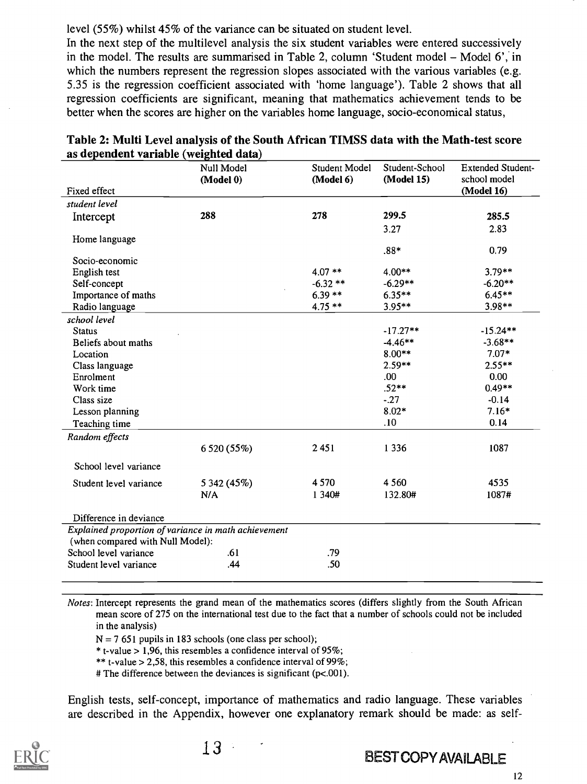level (55%) whilst 45% of the variance can be situated on student level.

In the next step of the multilevel analysis the six student variables were entered successively in the model. The results are summarised in Table 2, column 'Student model  $-$  Model 6', in which the numbers represent the regression slopes associated with the various variables (e.g. 5.35 is the regression coefficient associated with 'home language'). Table 2 shows that all regression coefficients are significant, meaning that mathematics achievement tends to be better when the scores are higher on the variables home language, socio-economical status,

| Null Model | Student Model                                                                                                                                     | Student-School                                                                              | <b>Extended Student-</b><br>school model                                                                                                                                                                                 |
|------------|---------------------------------------------------------------------------------------------------------------------------------------------------|---------------------------------------------------------------------------------------------|--------------------------------------------------------------------------------------------------------------------------------------------------------------------------------------------------------------------------|
|            |                                                                                                                                                   |                                                                                             | (Model 16)                                                                                                                                                                                                               |
|            |                                                                                                                                                   |                                                                                             |                                                                                                                                                                                                                          |
|            |                                                                                                                                                   |                                                                                             |                                                                                                                                                                                                                          |
|            |                                                                                                                                                   |                                                                                             | 285.5                                                                                                                                                                                                                    |
|            |                                                                                                                                                   |                                                                                             | 2.83                                                                                                                                                                                                                     |
|            |                                                                                                                                                   |                                                                                             |                                                                                                                                                                                                                          |
|            |                                                                                                                                                   |                                                                                             | 0.79                                                                                                                                                                                                                     |
|            |                                                                                                                                                   |                                                                                             | $3.79**$                                                                                                                                                                                                                 |
|            |                                                                                                                                                   |                                                                                             | $-6.20**$                                                                                                                                                                                                                |
|            |                                                                                                                                                   |                                                                                             | $6.45**$                                                                                                                                                                                                                 |
|            |                                                                                                                                                   |                                                                                             | 3.98**                                                                                                                                                                                                                   |
|            |                                                                                                                                                   |                                                                                             |                                                                                                                                                                                                                          |
|            |                                                                                                                                                   |                                                                                             | $-15.24**$                                                                                                                                                                                                               |
|            |                                                                                                                                                   |                                                                                             | $-3.68**$                                                                                                                                                                                                                |
|            |                                                                                                                                                   |                                                                                             | $7.07*$                                                                                                                                                                                                                  |
|            |                                                                                                                                                   |                                                                                             | $2.55**$                                                                                                                                                                                                                 |
|            |                                                                                                                                                   |                                                                                             | 0.00                                                                                                                                                                                                                     |
|            |                                                                                                                                                   |                                                                                             | $0.49**$                                                                                                                                                                                                                 |
|            |                                                                                                                                                   |                                                                                             | $-0.14$                                                                                                                                                                                                                  |
|            |                                                                                                                                                   |                                                                                             | $7.16*$                                                                                                                                                                                                                  |
|            |                                                                                                                                                   |                                                                                             | 0.14                                                                                                                                                                                                                     |
|            |                                                                                                                                                   |                                                                                             |                                                                                                                                                                                                                          |
|            |                                                                                                                                                   |                                                                                             | 1087                                                                                                                                                                                                                     |
|            |                                                                                                                                                   |                                                                                             |                                                                                                                                                                                                                          |
|            |                                                                                                                                                   |                                                                                             |                                                                                                                                                                                                                          |
|            |                                                                                                                                                   |                                                                                             | 4535                                                                                                                                                                                                                     |
|            |                                                                                                                                                   |                                                                                             | 1087#                                                                                                                                                                                                                    |
|            |                                                                                                                                                   |                                                                                             |                                                                                                                                                                                                                          |
|            |                                                                                                                                                   |                                                                                             |                                                                                                                                                                                                                          |
|            |                                                                                                                                                   |                                                                                             |                                                                                                                                                                                                                          |
|            |                                                                                                                                                   |                                                                                             |                                                                                                                                                                                                                          |
| .61        | .79                                                                                                                                               |                                                                                             |                                                                                                                                                                                                                          |
| .44        | .50                                                                                                                                               |                                                                                             |                                                                                                                                                                                                                          |
|            | (Model 0)<br>288<br>6 520 (55%)<br>5 342 (45%)<br>N/A<br>Explained proportion of variance in math achievement<br>(when compared with Null Model): | (Model 6)<br>278<br>$4.07**$<br>$-6.32**$<br>$6.39**$<br>$4.75**$<br>2451<br>4570<br>1 340# | (Model 15)<br>299.5<br>3.27<br>$.88*$<br>4.00**<br>$-6.29**$<br>$6.35**$<br>$3.95**$<br>$-17.27**$<br>$-4.46**$<br>$8.00**$<br>$2.59**$<br>.00.<br>$.52**$<br>$-0.27$<br>$8.02*$<br>.10<br>1 3 3 6<br>4 5 6 0<br>132.80# |

| Table 2: Multi Level analysis of the South African TIMSS data with the Math-test score |  |
|----------------------------------------------------------------------------------------|--|
| as dependent variable (weighted data)                                                  |  |

Notes: Intercept represents the grand mean of the mathematics scores (differs slightly from the South African mean score of 275 on the international test due to the fact that a number of schools could not be included in the analysis)

 $N = 7651$  pupils in 183 schools (one class per school);

\* t-value > 1,96, this resembles a confidence interval of  $95\%$ ;

\*\* t-value  $> 2,58$ , this resembles a confidence interval of 99%;

# The difference between the deviances is significant (p<.001).

English tests, self-concept, importance of mathematics and radio language. These variables are described in the Appendix, however one explanatory remark should be made: as self-

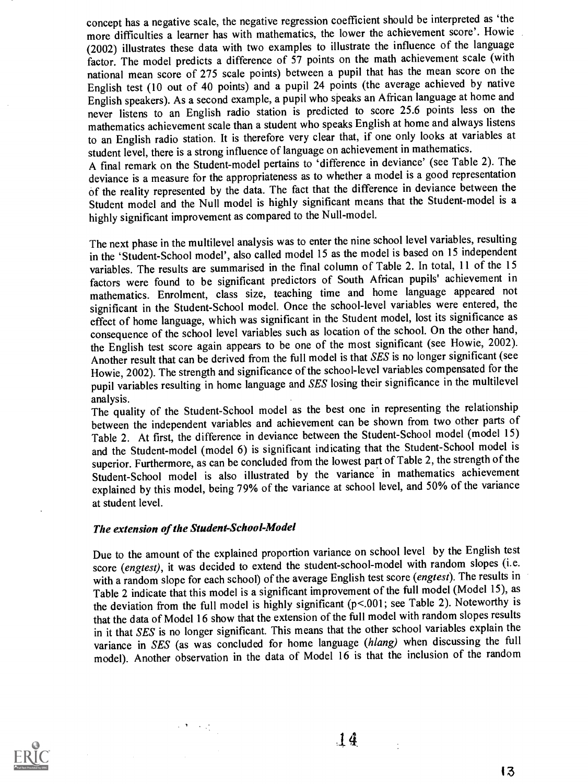concept has a negative scale, the negative regression coefficient should be interpreted as 'the more difficulties a learner has with mathematics, the lower the achievement score'. Howie (2002) illustrates these data with two examples to illustrate the influence of the language factor. The model predicts a difference of 57 points on the math achievement scale (with national mean score of 275 scale points) between a pupil that has the mean score on the English test (10 out of 40 points) and a pupil 24 points (the average achieved by native English speakers). As a second example, a pupil who speaks an African language at home and never listens to an English radio station is predicted to score 25.6 points less on the mathematics achievement scale than a student who speaks English at home and always listens to an English radio station. It is therefore very clear that, if one only looks at variables at student level, there is a strong influence of language on achievement in mathematics.

A final remark on the Student-model pertains to 'difference in deviance' (see Table 2). The deviance is a measure for the appropriateness as to whether a model is a good representation of the reality represented by the data. The fact that the difference in deviance between the Student model and the Null model is highly significant means that the Student-model is a highly significant improvement as compared to the Null-model.

The next phase in the multilevel analysis was to enter the nine school level variables, resulting in the 'Student-School model', also called model 15 as the model is based on 15 independent variables. The results are summarised in the final column of Table 2. In total, 11 of the 15 factors were found to be significant predictors of South African pupils' achievement in mathematics. Enrolment, class size, teaching time and home language appeared not significant in the Student-School model. Once the school-level variables were entered, the effect of home language, which was significant in the Student model, lost its significance as consequence of the school level variables such as location of the school. On the other hand, the English test score again appears to be one of the most significant (see Howie, 2002). Another result that can be derived from the full model is that SES is no longer significant (see Howie, 2002). The strength and significance of the school-level variables compensated for the pupil variables resulting in home language and SES losing their significance in the multilevel analysis.

The quality of the Student-School model as the best one in representing the relationship between the independent variables and achievement can be shown from two other parts of Table 2. At first, the difference in deviance between the Student-School model (model 15) and the Student-model (model 6) is significant indicating that the Student-School model is superior. Furthermore, as can be concluded from the lowest part of Table 2, the strength of the Student-School model is also illustrated by the variance in mathematics achievement explained by this model, being 79% of the variance at school level, and 50% of the variance at student level.

## The extension of the Student-School-Model

 $\label{eq:2} \mathcal{L}(\mathbf{Y}) \rightarrow \mathcal{L}_{\mathbf{X},\mathbf{Y}}^{\mathbf{X}}$ 

Due to the amount of the explained proportion variance on school level by the English test score (engtest), it was decided to extend the student-school-model with random slopes (i.e. with a random slope for each school) of the average English test score (engtest). The results in Table 2 indicate that this model is a significant improvement of the full model (Model 15), as the deviation from the full model is highly significant (p<.001; see Table 2). Noteworthy is that the data of Model 16 show that the extension of the full model with random slopes results in it that SES is no longer significant. This means that the other school variables explain the variance in SES (as was concluded for home language (hlang) when discussing the full model). Another observation in the data of Model 16 is that the inclusion of the random

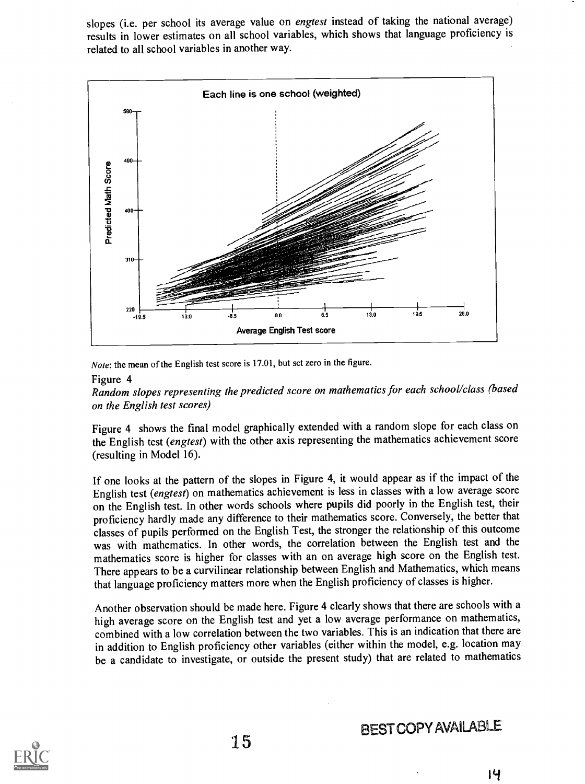slopes (i.e. per school its average value on *engtest* instead of taking the national average) results in lower estimates on all school variables, which shows that language proficiency is related to all school variables in another way.



Note: the mean of the English test score is 17.01, but set zero in the figure.

Figure 4

Random slopes representing the predicted score on mathematics for each school/class (based on the English test scores)

Figure 4 shows the final model graphically extended with a random slope for each class on the English test (engtest) with the other axis representing the mathematics achievement score (resulting in Model 16).

If one looks at the pattern of the slopes in Figure 4, it would appear as if the impact of the English test (engtest) on mathematics achievement is less in classes with a low average score on the English test. In other words schools where pupils did poorly in the English test, their proficiency hardly made any difference to their mathematics score. Conversely, the better that classes of pupils performed on the English Test, the stronger the relationship of this outcome was with mathematics. In other words, the correlation between the English test and the mathematics score is higher for classes with an on average high score on the English test. There appears to be a curvilinear relationship between English and Mathematics, which means that language proficiency matters more when the English proficiency of classes is higher.

Another observation should be made here. Figure 4 clearly shows that there are schools with a high average score on the English test and yet a low average performance on mathematics, combined with a low correlation between the two variables. This is an indication that there are in addition to English proficiency other variables (either within the model, e.g. location may be a candidate to investigate, or outside the present study) that are related to mathematics



15

BEST COPY AVAILABLE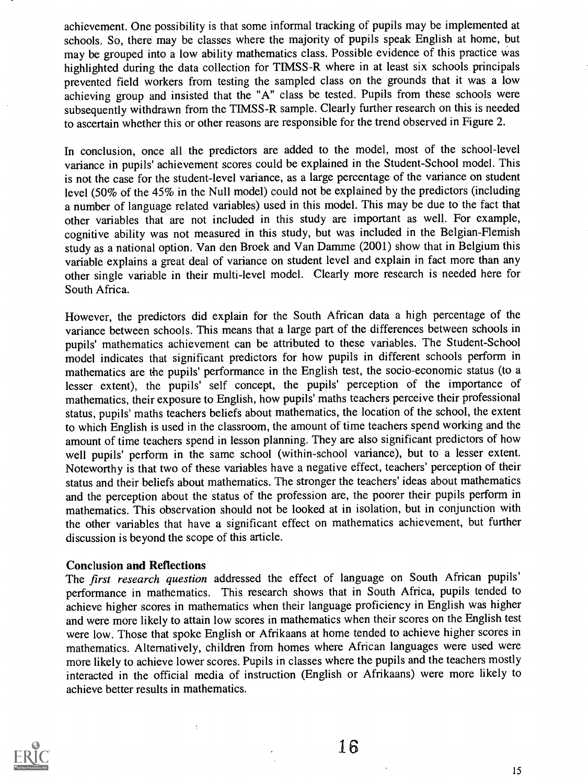achievement. One possibility is that some informal tracking of pupils may be implemented at schools. So, there may be classes where the majority of pupils speak English at home, but may be grouped into a low ability mathematics class. Possible evidence of this practice was highlighted during the data collection for TIMSS-R where in at least six schools principals prevented field workers from testing the sampled class on the grounds that it was a low achieving group and insisted that the "A" class be tested. Pupils from these schools were subsequently withdrawn from the TIMSS-R sample. Clearly further research on this is needed to ascertain whether this or other reasons are responsible for the trend observed in Figure 2.

In conclusion, once all the predictors are added to the model, most of the school-level variance in pupils' achievement scores could be explained in the Student-School model. This is not the case for the student-level variance, as a large percentage of the variance on student level (50% of the 45% in the Null model) could not be explained by the predictors (including a number of language related variables) used in this model. This may be due to the fact that other variables that are not included in this study are important as well. For example, cognitive ability was not measured in this study, but was included in the Belgian-Flemish study as a national option. Van den Broek and Van Damme (2001) show that in Belgium this variable explains a great deal of variance on student level and explain in fact more than any other single variable in their multi-level model. Clearly more research is needed here for South Africa.

However, the predictors did explain for the South African data a high percentage of the variance between schools. This means that a large part of the differences between schools in pupils' mathematics achievement can be attributed to these variables. The Student-School model indicates that significant predictors for how pupils in different schools perform in mathematics are the pupils' performance in the English test, the socio-economic status (to a lesser extent), the pupils' self concept, the pupils' perception of the importance of mathematics, their exposure to English, how pupils' maths teachers perceive their professional status, pupils' maths teachers beliefs about mathematics, the location of the school, the extent to which English is used in the classroom, the amount of time teachers spend working and the amount of time teachers spend in lesson planning. They are also significant predictors of how well pupils' perform in the same school (within-school variance), but to a lesser extent. Noteworthy is that two of these variables have a negative effect, teachers' perception of their status and their beliefs about mathematics. The stronger the teachers' ideas about mathematics and the perception about the status of the profession are, the poorer their pupils perform in mathematics. This observation should not be looked at in isolation, but in conjunction with the other variables that have a significant effect on mathematics achievement, but further discussion is beyond the scope of this article.

#### Conclusion and Reflections

The first research question addressed the effect of language on South African pupils' performance in mathematics. This research shows that in South Africa, pupils tended to achieve higher scores in mathematics when their language proficiency in English was higher and were more likely to attain low scores in mathematics when their scores on the English test were low. Those that spoke English or Afrikaans at home tended to achieve higher scores in mathematics. Alternatively, children from homes where African languages were used were more likely to achieve lower scores. Pupils in classes where the pupils and the teachers mostly interacted in the official media of instruction (English or Afrikaans) were more likely to achieve better results in mathematics.

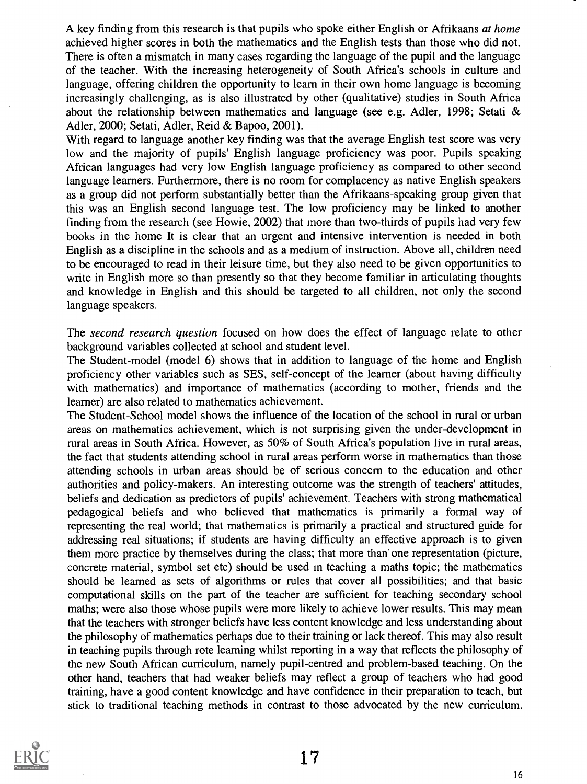A key finding from this research is that pupils who spoke either English or Afrikaans at home achieved higher scores in both the mathematics and the English tests than those who did not. There is often a mismatch in many cases regarding the language of the pupil and the language of the teacher. With the increasing heterogeneity of South Africa's schools in culture and language, offering children the opportunity to learn in their own home language is becoming increasingly challenging, as is also illustrated by other (qualitative) studies in South Africa about the relationship between mathematics and language (see e.g. Adler, 1998; Setati & Adler, 2000; Setati, Adler, Reid & Bapoo, 2001).

With regard to language another key finding was that the average English test score was very low and the majority of pupils' English language proficiency was poor. Pupils speaking African languages had very low English language proficiency as compared to other second language learners. Furthermore, there is no room for complacency as native English speakers as a group did not perform substantially better than the Afrikaans-speaking group given that this was an English second language test. The low proficiency may be linked to another finding from the research (see Howie, 2002) that more than two-thirds of pupils had very few books in the home It is clear that an urgent and intensive intervention is needed in both English as a discipline in the schools and as a medium of instruction. Above all, children need to be encouraged to read in their leisure time, but they also need to be given opportunities to write in English more so than presently so that they become familiar in articulating thoughts and knowledge in English and this should be targeted to all children, not only the second language speakers.

The second research question focused on how does the effect of language relate to other background variables collected at school and student level.

The Student-model (model 6) shows that in addition to language of the home and English proficiency other variables such as SES, self-concept of the learner (about having difficulty with mathematics) and importance of mathematics (according to mother, friends and the learner) are also related to mathematics achievement.

The Student-School model shows the influence of the location of the school in rural or urban areas on mathematics achievement, which is not surprising given the under-development in rural areas in South Africa. However, as 50% of South Africa's population live in rural areas, the fact that students attending school in rural areas perform worse in mathematics than those attending schools in urban areas should be of serious concern to the education and other authorities and policy-makers. An interesting outcome was the strength of teachers' attitudes, beliefs and dedication as predictors of pupils' achievement. Teachers with strong mathematical pedagogical beliefs and who believed that mathematics is primarily a formal way of representing the real world; that mathematics is primarily a practical and structured guide for addressing real situations; if students are having difficulty an effective approach is to given them more practice by themselves during the class; that more than one representation (picture, concrete material, symbol set etc) should be used in teaching a maths topic; the mathematics should be learned as sets of algorithms or rules that cover all possibilities; and that basic computational skills on the part of the teacher are sufficient for teaching secondary school maths; were also those whose pupils were more likely to achieve lower results. This may mean that the teachers with stronger beliefs have less content knowledge and less understanding about the philosophy of mathematics perhaps due to their training or lack thereof. This may also result in teaching pupils through rote learning whilst reporting in a way that reflects the philosophy of the new South African curriculum, namely pupil-centred and problem-based teaching. On the other hand, teachers that had weaker beliefs may reflect a group of teachers who had good training, have a good content knowledge and have confidence in their preparation to teach, but stick to traditional teaching methods in contrast to those advocated by the new curriculum.

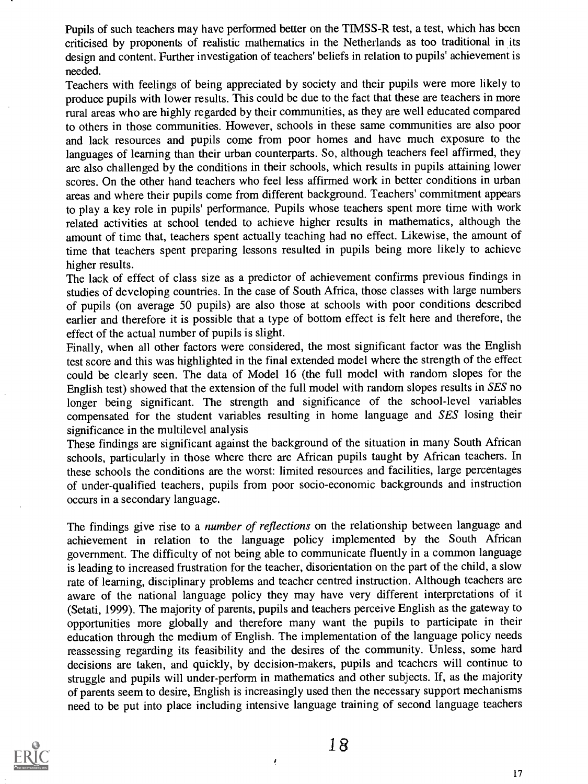Pupils of such teachers may have performed better on the TIMSS -R test, a test, which has been criticised by proponents of realistic mathematics in the Netherlands as too traditional in its design and content. Further investigation of teachers' beliefs in relation to pupils' achievement is needed.

Teachers with feelings of being appreciated by society and their pupils were more likely to produce pupils with lower results. This could be due to the fact that these are teachers in more rural areas who are highly regarded by their communities, as they are well educated compared to others in those communities. However, schools in these same communities are also poor and lack resources and pupils come from poor homes and have much exposure to the languages of learning than their urban counterparts. So, although teachers feel affirmed, they are also challenged by the conditions in their schools, which results in pupils attaining lower scores. On the other hand teachers who feel less affirmed work in better conditions in urban areas and where their pupils come from different background. Teachers' commitment appears to play a key role in pupils' performance. Pupils whose teachers spent more time with work related activities at school tended to achieve higher results in mathematics, although the amount of time that, teachers spent actually teaching had no effect. Likewise, the amount of time that teachers spent preparing lessons resulted in pupils being more likely to achieve higher results.

The lack of effect of class size as a predictor of achievement confirms previous findings in studies of developing countries. In the case of South Africa, those classes with large numbers of pupils (on average 50 pupils) are also those at schools with poor conditions described earlier and therefore it is possible that a type of bottom effect is felt here and therefore, the effect of the actual number of pupils is slight.

Finally, when all other factors were considered, the most significant factor was the English test score and this was highlighted in the final extended model where the strength of the effect could be clearly seen. The data of Model 16 (the full model with random slopes for the English test) showed that the extension of the full model with random slopes results in SES no longer being significant. The strength and significance of the school-level variables compensated for the student variables resulting in home language and SES losing their significance in the multilevel analysis

These findings are significant against the background of the situation in many South African schools, particularly in those where there are African pupils taught by African teachers. In these schools the conditions are the worst: limited resources and facilities, large percentages of under-qualified teachers, pupils from poor socio-economic backgrounds and instruction occurs in a secondary language.

The findings give rise to a *number of reflections* on the relationship between language and achievement in relation to the language policy implemented by the South African government. The difficulty of not being able to communicate fluently in a common language is leading to increased frustration for the teacher, disorientation on the part of the child, a slow rate of learning, disciplinary problems and teacher centred instruction. Although teachers are aware of the national language policy they may have very different interpretations of it (Setati, 1999). The majority of parents, pupils and teachers perceive English as the gateway to opportunities more globally and therefore many want the pupils to participate in their education through the medium of English. The implementation of the language policy needs reassessing regarding its feasibility and the desires of the community. Unless, some hard decisions are taken, and quickly, by decision-makers, pupils and teachers will continue to struggle and pupils will under-perform in mathematics and other subjects. If, as the majority of parents seem to desire, English is increasingly used then the necessary support mechanisms need to be put into place including intensive language training of second language teachers

 $\mathbf{r}$ 

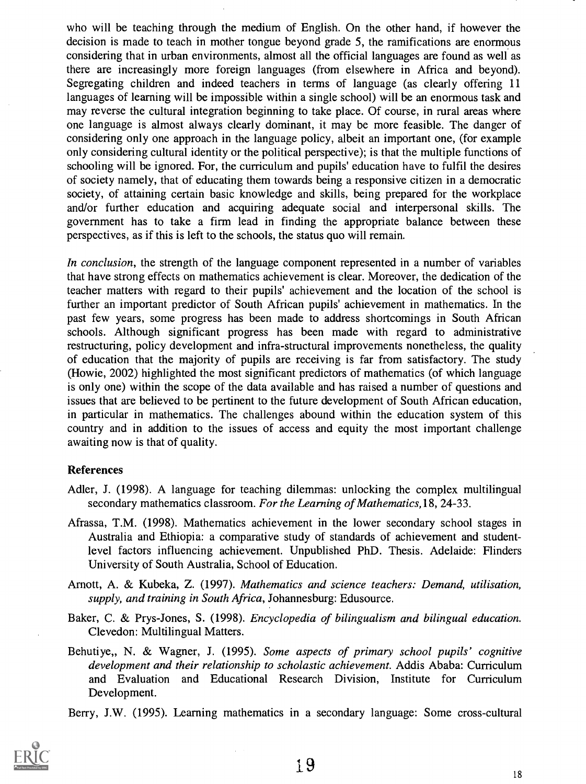who will be teaching through the medium of English. On the other hand, if however the decision is made to teach in mother tongue beyond grade 5, the ramifications are enormous considering that in urban environments, almost all the official languages are found as well as there are increasingly more foreign languages (from elsewhere in Africa and beyond). Segregating children and indeed teachers in terms of language (as clearly offering 11 languages of learning will be impossible within a single school) will be an enormous task and may reverse the cultural integration beginning to take place. Of course, in rural areas where one language is almost always clearly dominant, it may be more feasible. The danger of considering only one approach in the language policy, albeit an important one, (for example only considering cultural identity or the political perspective); is that the multiple functions of schooling will be ignored. For, the curriculum and pupils' education have to fulfil the desires of society namely, that of educating them towards being a responsive citizen in a democratic society, of attaining certain basic knowledge and skills, being prepared for the workplace and/or further education and acquiring adequate social and interpersonal skills. The government has to take a firm lead in finding the appropriate balance between these perspectives, as if this is left to the schools, the status quo will remain.

In conclusion, the strength of the language component represented in a number of variables that have strong effects on mathematics achievement is clear. Moreover, the dedication of the teacher matters with regard to their pupils' achievement and the location of the school is further an important predictor of South African pupils' achievement in mathematics. In the past few years, some progress has been made to address shortcomings in South African schools. Although significant progress has been made with regard to administrative restructuring, policy development and infra-structural improvements nonetheless, the quality of education that the majority of pupils are receiving is far from satisfactory. The study (Howie, 2002) highlighted the most significant predictors of mathematics (of which language is only one) within the scope of the data available and has raised a number of questions and issues that are believed to be pertinent to the future development of South African education, in particular in mathematics. The challenges abound within the education system of this country and in addition to the issues of access and equity the most important challenge awaiting now is that of quality.

#### References

- Adler, J. (1998). A language for teaching dilemmas: unlocking the complex multilingual secondary mathematics classroom. For the Learning of Mathematics, 18, 24-33.
- Afrassa, T.M. (1998). Mathematics achievement in the lower secondary school stages in Australia and Ethiopia: a comparative study of standards of achievement and studentlevel factors influencing achievement. Unpublished PhD. Thesis. Adelaide: Flinders University of South Australia, School of Education.
- Arnott, A. & Kubeka, Z. (1997). Mathematics and science teachers: Demand, utilisation, supply, and training in South Africa, Johannesburg: Edusource.
- Baker, C. & Prys-Jones, S. (1998). Encyclopedia of bilingualism and bilingual education. Clevedon: Multilingual Matters.
- Behutiye,, N. & Wagner, J. (1995). Some aspects of primary school pupils' cognitive development and their relationship to scholastic achievement. Addis Ababa: Curriculum and Evaluation and Educational Research Division, Institute for Curriculum Development.

Berry, J.W. (1995). Learning mathematics in a secondary language: Some cross-cultural

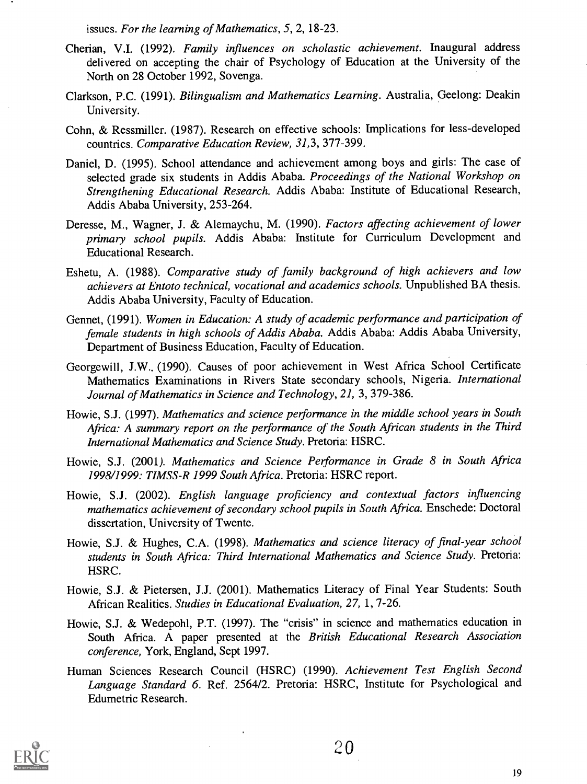issues. For the learning of Mathematics, 5, 2, 18-23.

- Cherian, V.I. (1992). Family influences on scholastic achievement. Inaugural address delivered on accepting the chair of Psychology of Education at the University of the North on 28 October 1992, Sovenga.
- Clarkson, P.C. (1991). Bilingualism and Mathematics Learning. Australia, Geelong: Deakin University.
- Cohn, & Ressmiller. (1987). Research on effective schools: Implications for less-developed countries. Comparative Education Review, 31,3, 377-399.
- Daniel, D. (1995). School attendance and achievement among boys and girls: The case of selected grade six students in Addis Ababa. Proceedings of the National Workshop on Strengthening Educational Research. Addis Ababa: Institute of Educational Research, Addis Ababa University, 253-264.
- Deresse, M., Wagner, J. & Alemaychu, M. (1990). Factors affecting achievement of lower primary school pupils. Addis Ababa: Institute for Curriculum Development and Educational Research.
- Eshetu, A. (1988). Comparative study of family background of high achievers and low achievers at Entoto technical, vocational and academics schools. Unpublished BA thesis. Addis Ababa University, Faculty of Education.
- Gennet, (1991). Women in Education: A study of academic performance and participation of female students in high schools of Addis Ababa. Addis Ababa: Addis Ababa University, Department of Business Education, Faculty of Education.
- Georgewill, J.W.. (1990). Causes of poor achievement in West Africa School Certificate Mathematics Examinations in Rivers State secondary schools, Nigeria. International Journal of Mathematics in Science and Technology, 21, 3, 379-386.
- Howie, S.J. (1997). Mathematics and science performance in the middle school years in South Africa: A summary report on the performance of the South African students in the Third International Mathematics and Science Study. Pretoria: HSRC.
- Howie, S.J. (2001). Mathematics and Science Performance in Grade 8 in South Africa 1998/1999: TIMSS-R 1999 South Africa. Pretoria: HSRC report.
- Howie, S.J. (2002). English language proficiency and contextual factors influencing mathematics achievement of secondary school pupils in South Africa. Enschede: Doctoral dissertation, University of Twente.
- Howie, S.J. & Hughes, C.A. (1998). Mathematics and science literacy of final-year school students in South Africa: Third International Mathematics and Science Study. Pretoria: HSRC.
- Howie, S.J. & Pietersen, J.J. (2001). Mathematics Literacy of Final Year Students: South African Realities. Studies in Educational Evaluation, 27, 1, 7-26.
- Howie, S.J. & Wedepohl, P.T. (1997). The "crisis" in science and mathematics education in South Africa. A paper presented at the British Educational Research Association conference, York, England, Sept 1997.
- Human Sciences Research Council (HSRC) (1990). Achievement Test English Second Language Standard 6. Ref. 2564/2. Pretoria: HSRC, Institute for Psychological and Edumetric Research.



I) 0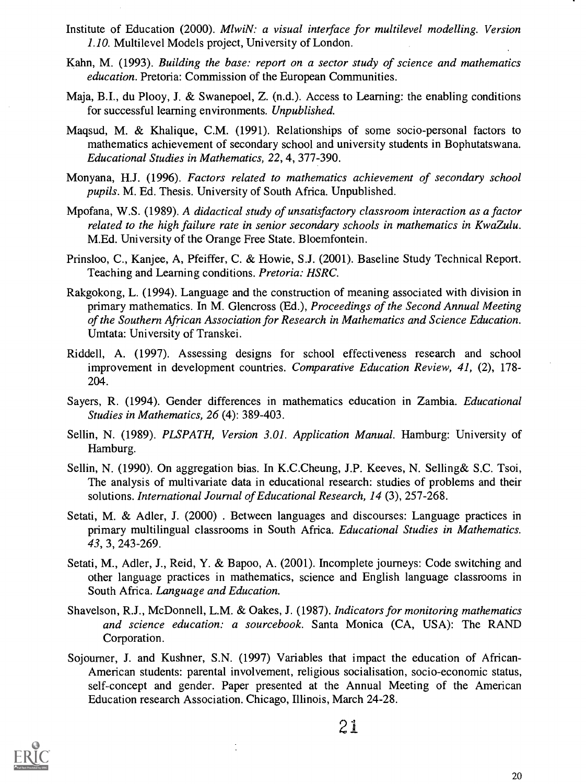- Institute of Education (2000). MlwiN: a visual interface for multilevel modelling. Version 1.10. Multilevel Models project, University of London.
- Kahn, M. (1993). Building the base: report on a sector study of science and mathematics education. Pretoria: Commission of the European Communities.
- Maja, B.I., du Plooy, J. & Swanepoel, Z. (n.d.). Access to Learning: the enabling conditions for successful learning environments. Unpublished.
- Maqsud, M. & Khalique, C.M. (1991). Relationships of some socio-personal factors to mathematics achievement of secondary school and university students in Bophutatswana. Educational Studies in Mathematics, 22, 4, 377-390.
- Monyana, H.J. (1996). Factors related to mathematics achievement of secondary school pupils. M. Ed. Thesis. University of South Africa. Unpublished.
- Mpofana, W.S. (1989). A didactical study of unsatisfactory classroom interaction as a factor related to the high failure rate in senior secondary schools in mathematics in KwaZulu. M.Ed. University of the Orange Free State. Bloemfontein.
- Prinsloo, C., Kanjee, A, Pfeiffer, C. & Howie, S.J. (2001). Baseline Study Technical Report. Teaching and Learning conditions. Pretoria: HSRC.
- Rakgokong, L. (1994). Language and the construction of meaning associated with division in primary mathematics. In M. Glencross (Ed.), Proceedings of the Second Annual Meeting of the Southern African Association for Research in Mathematics and Science Education. Umtata: University of Transkei.
- Riddell, A. (1997). Assessing designs for school effectiveness research and school improvement in development countries. Comparative Education Review, 41, (2), 178- 204.
- Sayers, R. (1994). Gender differences in mathematics education in Zambia. Educational Studies in Mathematics, 26 (4): 389-403.
- Sellin, N. (1989). PLSPATH, Version 3.01. Application Manual. Hamburg: University of Hamburg.
- Sellin, N. (1990). On aggregation bias. In K.C.Cheung, J.P. Keeves, N. Selling& S.C. Tsoi, The analysis of multivariate data in educational research: studies of problems and their solutions. International Journal of Educational Research, 14 (3), 257-268.
- Setati, M. & Adler, J. (2000) . Between languages and discourses: Language practices in primary multilingual classrooms in South Africa. Educational Studies in Mathematics. 43, 3, 243-269.
- Setati, M., Adler, J., Reid, Y. & Bapoo, A. (2001). Incomplete journeys: Code switching and other language practices in mathematics, science and English language classrooms in South Africa. Language and Education.
- Shavelson, R.J., McDonnell, L.M. & Oakes, J. (1987). Indicators for monitoring mathematics and science education: a sourcebook. Santa Monica (CA, USA): The RAND Corporation.
- Sojourner, J. and Kushner, S.N. (1997) Variables that impact the education of African-American students: parental involvement, religious socialisation, socio-economic status, self-concept and gender. Paper presented at the Annual Meeting of the American Education research Association. Chicago, Illinois, March 24-28.

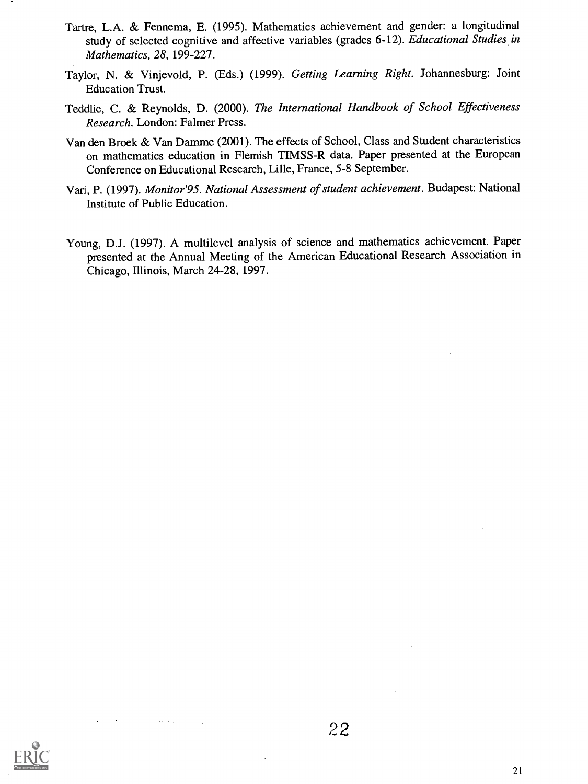- Tartre, L.A. & Fennema, E. (1995). Mathematics achievement and gender: a longitudinal study of selected cognitive and affective variables (grades 6-12). Educational Studies in Mathematics, 28, 199-227.
- Taylor, N. & Vinjevold, P. (Eds.) (1999). Getting Learning Right. Johannesburg: Joint Education Trust.
- Teddlie, C. & Reynolds, D. (2000). The International Handbook of School Effectiveness Research. London: Falmer Press.
- Van den Broek & Van Damme (2001). The effects of School, Class and Student characteristics on mathematics education in Flemish TIMSS -R data. Paper presented at the European Conference on Educational Research, Lille, France, 5-8 September.
- Vari, P. (1997). Monitor'95. National Assessment of student achievement. Budapest: National Institute of Public Education.
- Young, D.J. (1997). A multilevel analysis of science and mathematics achievement. Paper presented at the Annual Meeting of the American Educational Research Association in Chicago, Illinois, March 24-28, 1997.

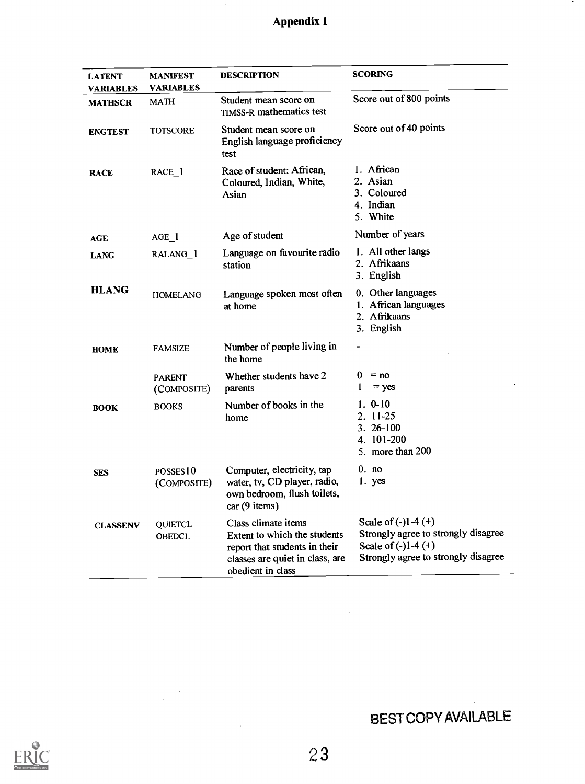$\bullet$ 

| <b>LATENT</b><br><b>VARIABLES</b> | <b>MANIFEST</b><br><b>VARIABLES</b> | <b>DESCRIPTION</b>                                                                                                                           | <b>SCORING</b>                                                                                                               |
|-----------------------------------|-------------------------------------|----------------------------------------------------------------------------------------------------------------------------------------------|------------------------------------------------------------------------------------------------------------------------------|
| <b>MATHSCR</b>                    | <b>MATH</b>                         | Student mean score on<br>TIMSS-R mathematics test                                                                                            | Score out of 800 points                                                                                                      |
| <b>ENGTEST</b>                    | <b>TOTSCORE</b>                     | Student mean score on<br>English language proficiency<br>test                                                                                | Score out of 40 points                                                                                                       |
| <b>RACE</b>                       | $RACE_1$                            | Race of student: African,<br>Coloured, Indian, White,<br>Asian                                                                               | 1. African<br>2. Asian<br>3. Coloured<br>4. Indian<br>5. White                                                               |
| <b>AGE</b>                        | $AGE_1$                             | Age of student                                                                                                                               | Number of years                                                                                                              |
| <b>LANG</b>                       | RALANG 1                            | Language on favourite radio<br>station                                                                                                       | 1. All other langs<br>2. Afrikaans<br>3. English                                                                             |
| <b>HLANG</b>                      | <b>HOMELANG</b>                     | Language spoken most often<br>at home                                                                                                        | 0. Other languages<br>1. African languages<br>2. Afrikaans<br>3. English                                                     |
| <b>HOME</b>                       | <b>FAMSIZE</b>                      | Number of people living in<br>the home                                                                                                       |                                                                                                                              |
|                                   | <b>PARENT</b><br>(COMPOSITE)        | Whether students have 2<br>parents                                                                                                           | $= no$<br>0<br>$=$ yes<br>1                                                                                                  |
| <b>BOOK</b>                       | <b>BOOKS</b>                        | Number of books in the<br>home                                                                                                               | $1.0 - 10$<br>2. 11-25<br>$3.26-100$<br>4. 101-200<br>5. more than 200                                                       |
| <b>SES</b>                        | POSSES <sub>10</sub><br>(COMPOSITE) | Computer, electricity, tap<br>water, tv, CD player, radio,<br>own bedroom, flush toilets,<br>car (9 items)                                   | 0. no<br>1. yes                                                                                                              |
| <b>CLASSENV</b>                   | QUIETCL<br><b>OBEDCL</b>            | Class climate items<br>Extent to which the students<br>report that students in their<br>classes are quiet in class, are<br>obedient in class | Scale of $(-)1-4 (+)$<br>Strongly agree to strongly disagree<br>Scale of $(-)1-4 (+)$<br>Strongly agree to strongly disagree |



 $\phi$ 

 $\bar{\beta}$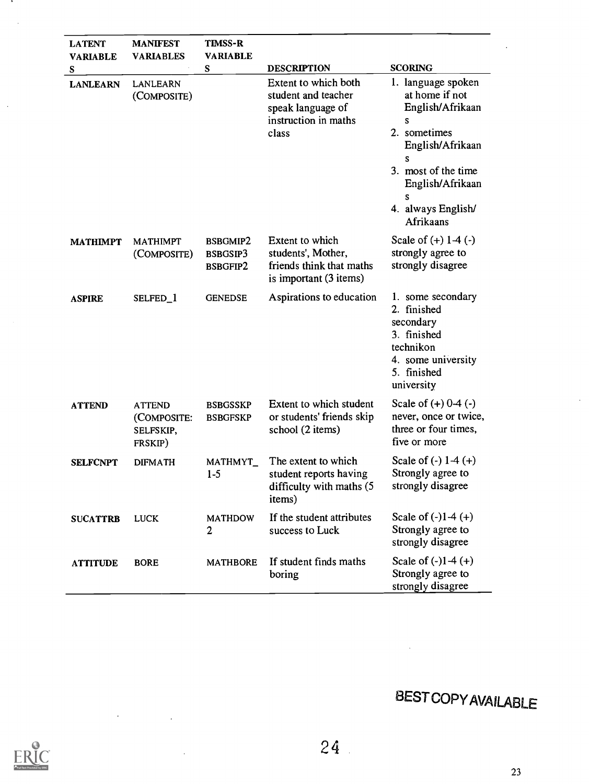| <b>LATENT</b><br><b>VARIABLE</b> | <b>MANIFEST</b><br><b>VARIABLES</b>                  | <b>TIMSS-R</b><br><b>VARIABLE</b>              |                                                                                                   |                                                                                                                                                                                           |
|----------------------------------|------------------------------------------------------|------------------------------------------------|---------------------------------------------------------------------------------------------------|-------------------------------------------------------------------------------------------------------------------------------------------------------------------------------------------|
| S                                |                                                      | S                                              | <b>DESCRIPTION</b>                                                                                | <b>SCORING</b>                                                                                                                                                                            |
| <b>LANLEARN</b>                  | LANLEARN<br>(COMPOSITE)                              |                                                | Extent to which both<br>student and teacher<br>speak language of<br>instruction in maths<br>class | 1. language spoken<br>at home if not<br>English/Afrikaan<br>s<br>2. sometimes<br>English/Afrikaan<br>s<br>3. most of the time<br>English/Afrikaan<br>S<br>4. always English/<br>Afrikaans |
| <b>MATHIMPT</b>                  | <b>MATHIMPT</b><br>(COMPOSITE)                       | <b>BSBGMIP2</b><br>BSBGSIP3<br><b>BSBGFIP2</b> | Extent to which<br>students', Mother,<br>friends think that maths<br>is important (3 items)       | Scale of $(+)$ 1-4 $(-)$<br>strongly agree to<br>strongly disagree                                                                                                                        |
| <b>ASPIRE</b>                    | SELFED <sub>1</sub>                                  | <b>GENEDSE</b>                                 | Aspirations to education                                                                          | 1. some secondary<br>2. finished<br>secondary<br>3. finished<br>technikon<br>4. some university<br>5. finished<br>university                                                              |
| <b>ATTEND</b>                    | <b>ATTEND</b><br>(COMPOSITE:<br>SELFSKIP,<br>FRSKIP) | <b>BSBGSSKP</b><br><b>BSBGFSKP</b>             | Extent to which student<br>or students' friends skip<br>school (2 items)                          | Scale of $(+)$ 0-4 $(-)$<br>never, once or twice,<br>three or four times,<br>five or more                                                                                                 |
| <b>SELFCNPT</b>                  | <b>DIFMATH</b>                                       | MATHMYT_<br>$1-5$                              | The extent to which<br>student reports having<br>difficulty with maths (5<br>items)               | Scale of $(-) 1-4 (+)$<br>Strongly agree to<br>strongly disagree                                                                                                                          |
| <b>SUCATTRB</b>                  | <b>LUCK</b>                                          | <b>MATHDOW</b><br>2                            | If the student attributes<br>success to Luck                                                      | Scale of $(-)1-4 (+)$<br>Strongly agree to<br>strongly disagree                                                                                                                           |
| <b>ATTITUDE</b>                  | <b>BORE</b>                                          | <b>MATHBORE</b>                                | If student finds maths<br>boring                                                                  | Scale of $(-)1-4 (+)$<br>Strongly agree to<br>strongly disagree                                                                                                                           |

# BEST COPYAVAILABLE



.

 $\mathcal{L}$ 

J.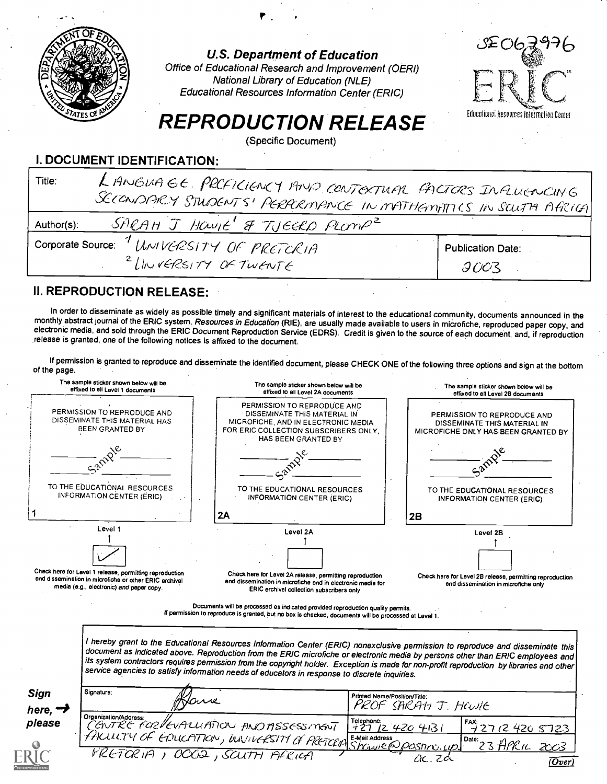

If permission is granted to reproduce and disseminate the identified document, please CHECK ONE of the following three options and sign at the bottom of the page.

| effixed to ell Level 1 documents                                                                                                                              | The sample sticker shown below will be<br>effixed to ell Level 2A documents                                                                                                                                                                                                                                                                                                                                                                                                                                                                       | The sample sticker shown below will be<br>effixed to ell Level 28 documents                        |  |  |
|---------------------------------------------------------------------------------------------------------------------------------------------------------------|---------------------------------------------------------------------------------------------------------------------------------------------------------------------------------------------------------------------------------------------------------------------------------------------------------------------------------------------------------------------------------------------------------------------------------------------------------------------------------------------------------------------------------------------------|----------------------------------------------------------------------------------------------------|--|--|
| PERMISSION TO REPRODUCE AND<br>DISSEMINATE THIS MATERIAL HAS<br>BEEN GRANTED BY                                                                               | PERMISSION TO REPRODUCE AND<br>DISSEMINATE THIS MATERIAL IN<br>MICROFICHE, AND IN ELECTRONIC MEDIA<br>FOR ERIC COLLECTION SUBSCRIBERS ONLY,<br>HAS BEEN GRANTED BY                                                                                                                                                                                                                                                                                                                                                                                | PERMISSION TO REPRODUCE AND<br>DISSEMINATE THIS MATERIAL IN<br>MICROFICHE ONLY HAS BEEN GRANTED BY |  |  |
|                                                                                                                                                               |                                                                                                                                                                                                                                                                                                                                                                                                                                                                                                                                                   |                                                                                                    |  |  |
| TO THE EDUCATIONAL RESOURCES<br><b>INFORMATION CENTER (ERIC)</b>                                                                                              | TO THE EDUCATIONAL RESOURCES<br><b>INFORMATION CENTER (ERIC)</b>                                                                                                                                                                                                                                                                                                                                                                                                                                                                                  | TO THE EDUCATIONAL RESOURCES<br><b>INFORMATION CENTER (ERIC)</b>                                   |  |  |
|                                                                                                                                                               | 2A                                                                                                                                                                                                                                                                                                                                                                                                                                                                                                                                                | 2B                                                                                                 |  |  |
| Level 1                                                                                                                                                       | Level 2A                                                                                                                                                                                                                                                                                                                                                                                                                                                                                                                                          | Level 2B                                                                                           |  |  |
|                                                                                                                                                               |                                                                                                                                                                                                                                                                                                                                                                                                                                                                                                                                                   |                                                                                                    |  |  |
| Check here for Level 1 release, permitting reproduction<br>end dissemination in microfiche or other ERIC erchivel<br>media (e.g., electronic) and paper copy. | Check here for Level 2A release, permitting reproduction<br>end dissemination in microfiche end in electronic medie for<br>ERIC erchivel collection subscribers only                                                                                                                                                                                                                                                                                                                                                                              | Check here for Level 2B releese, permitting reproduction<br>and dissemination in microfiche only   |  |  |
|                                                                                                                                                               |                                                                                                                                                                                                                                                                                                                                                                                                                                                                                                                                                   |                                                                                                    |  |  |
|                                                                                                                                                               | Documents will be processed es indicated provided reproduction quality permits.<br>If permission to reproduce is granted, but no box is chacked, documents will be processed at Level 1.                                                                                                                                                                                                                                                                                                                                                          |                                                                                                    |  |  |
| Signature:<br>Sign                                                                                                                                            | I hereby grant to the Educational Resources Information Center (ERIC) nonexclusive permission to reproduce and disseminate this<br>document as indicated above. Reproduction from the ERIC microfiche or electronic media by persons other than ERIC employees and<br>its system contractors requires permission from the copyright holder. Exception is made for non-profit reproduction by libraries and other<br>service agencies to satisfy information needs of educators in response to discrete inquiries.<br>Printed Name/Position/Title: |                                                                                                    |  |  |
| here, $\rightarrow$<br>Organization/Address:                                                                                                                  | Telephone:                                                                                                                                                                                                                                                                                                                                                                                                                                                                                                                                        | PROF SARAH J. HOWLE                                                                                |  |  |
| please                                                                                                                                                        | CENTRE FOR/EVALUATION AND ASSESSMENT<br>FACULTY OF EDUCATION, WWWERSITI OF PRETCEPT SPOLUTE PO                                                                                                                                                                                                                                                                                                                                                                                                                                                    | FAX:<br>$727$ 12 420 4131<br>727124205723<br>Date:<br>23 APRIL 2003                                |  |  |